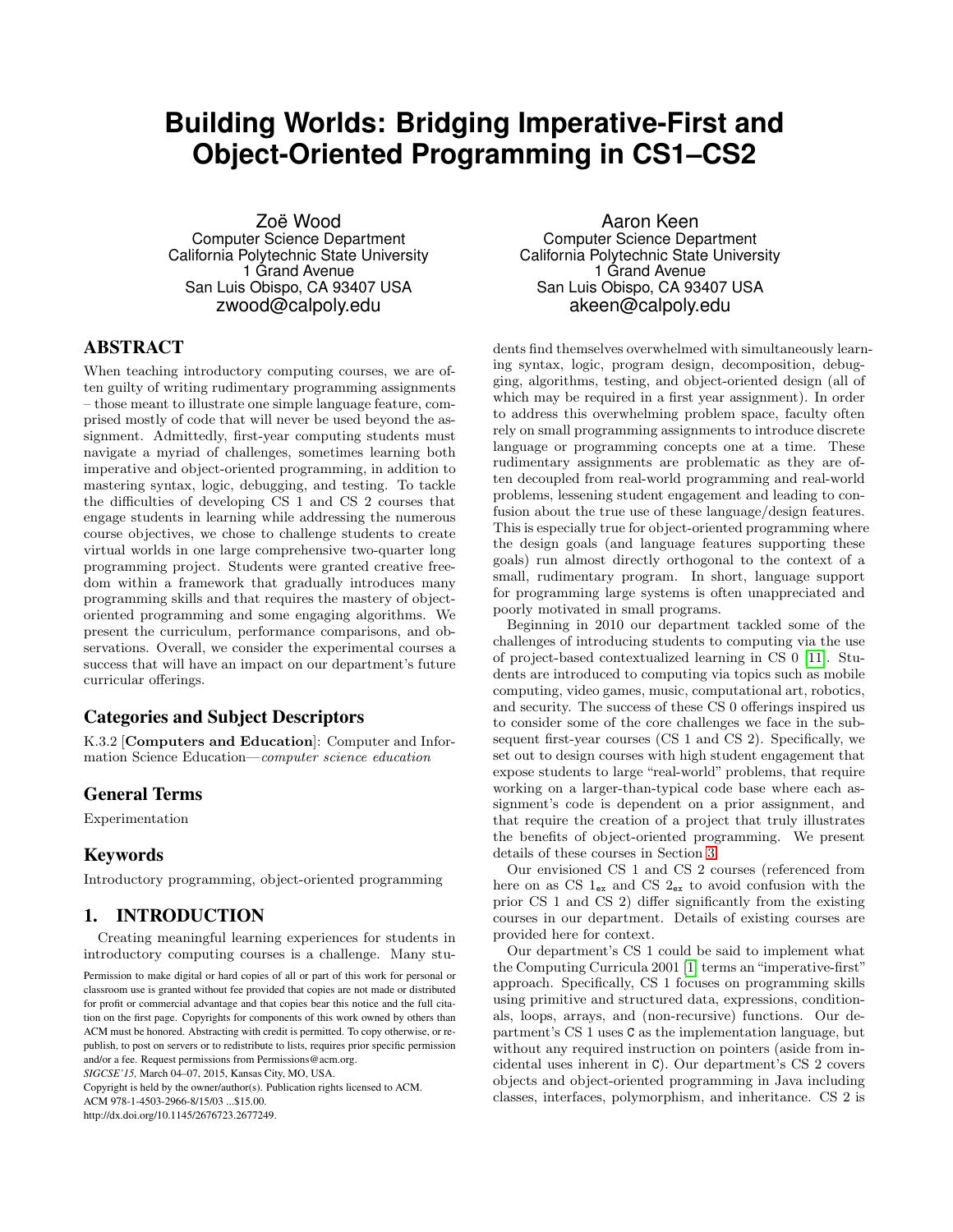# **Building Worlds: Bridging Imperative-First and Object-Oriented Programming in CS1–CS2**

Zoë Wood Computer Science Department California Polytechnic State University 1 Grand Avenue San Luis Obispo, CA 93407 USA zwood@calpoly.edu

# ABSTRACT

When teaching introductory computing courses, we are often guilty of writing rudimentary programming assignments – those meant to illustrate one simple language feature, comprised mostly of code that will never be used beyond the assignment. Admittedly, first-year computing students must navigate a myriad of challenges, sometimes learning both imperative and object-oriented programming, in addition to mastering syntax, logic, debugging, and testing. To tackle the difficulties of developing CS 1 and CS 2 courses that engage students in learning while addressing the numerous course objectives, we chose to challenge students to create virtual worlds in one large comprehensive two-quarter long programming project. Students were granted creative freedom within a framework that gradually introduces many programming skills and that requires the mastery of objectoriented programming and some engaging algorithms. We present the curriculum, performance comparisons, and observations. Overall, we consider the experimental courses a success that will have an impact on our department's future curricular offerings.

# Categories and Subject Descriptors

K.3.2 [Computers and Education]: Computer and Information Science Education—computer science education

# General Terms

Experimentation

# Keywords

Introductory programming, object-oriented programming

# 1. INTRODUCTION

Creating meaningful learning experiences for students in introductory computing courses is a challenge. Many stu-

Permission to make digital or hard copies of all or part of this work for personal or classroom use is granted without fee provided that copies are not made or distributed for profit or commercial advantage and that copies bear this notice and the full citation on the first page. Copyrights for components of this work owned by others than ACM must be honored. Abstracting with credit is permitted. To copy otherwise, or republish, to post on servers or to redistribute to lists, requires prior specific permission and/or a fee. Request permissions from Permissions@acm.org. *SIGCSE'15,* March 04–07, 2015, Kansas City, MO, USA.

Copyright is held by the owner/author(s). Publication rights licensed to ACM.

ACM 978-1-4503-2966-8/15/03 ...\$15.00.

http://dx.doi.org/10.1145/2676723.2677249.

Aaron Keen Computer Science Department California Polytechnic State University 1 Grand Avenue San Luis Obispo, CA 93407 USA akeen@calpoly.edu

dents find themselves overwhelmed with simultaneously learning syntax, logic, program design, decomposition, debugging, algorithms, testing, and object-oriented design (all of which may be required in a first year assignment). In order to address this overwhelming problem space, faculty often rely on small programming assignments to introduce discrete language or programming concepts one at a time. These rudimentary assignments are problematic as they are often decoupled from real-world programming and real-world problems, lessening student engagement and leading to confusion about the true use of these language/design features. This is especially true for object-oriented programming where the design goals (and language features supporting these goals) run almost directly orthogonal to the context of a small, rudimentary program. In short, language support for programming large systems is often unappreciated and poorly motivated in small programs.

Beginning in 2010 our department tackled some of the challenges of introducing students to computing via the use of project-based contextualized learning in CS 0 [\[11\]](#page-5-0). Students are introduced to computing via topics such as mobile computing, video games, music, computational art, robotics, and security. The success of these CS 0 offerings inspired us to consider some of the core challenges we face in the subsequent first-year courses (CS 1 and CS 2). Specifically, we set out to design courses with high student engagement that expose students to large "real-world" problems, that require working on a larger-than-typical code base where each assignment's code is dependent on a prior assignment, and that require the creation of a project that truly illustrates the benefits of object-oriented programming. We present details of these courses in Section [3.](#page-1-0)

Our envisioned CS 1 and CS 2 courses (referenced from here on as CS  $1_{ex}$  and CS  $2_{ex}$  to avoid confusion with the prior CS 1 and CS 2) differ significantly from the existing courses in our department. Details of existing courses are provided here for context.

Our department's CS 1 could be said to implement what the Computing Curricula 2001 [\[1\]](#page-5-1) terms an "imperative-first" approach. Specifically, CS 1 focuses on programming skills using primitive and structured data, expressions, conditionals, loops, arrays, and (non-recursive) functions. Our department's CS 1 uses C as the implementation language, but without any required instruction on pointers (aside from incidental uses inherent in C). Our department's CS 2 covers objects and object-oriented programming in Java including classes, interfaces, polymorphism, and inheritance. CS 2 is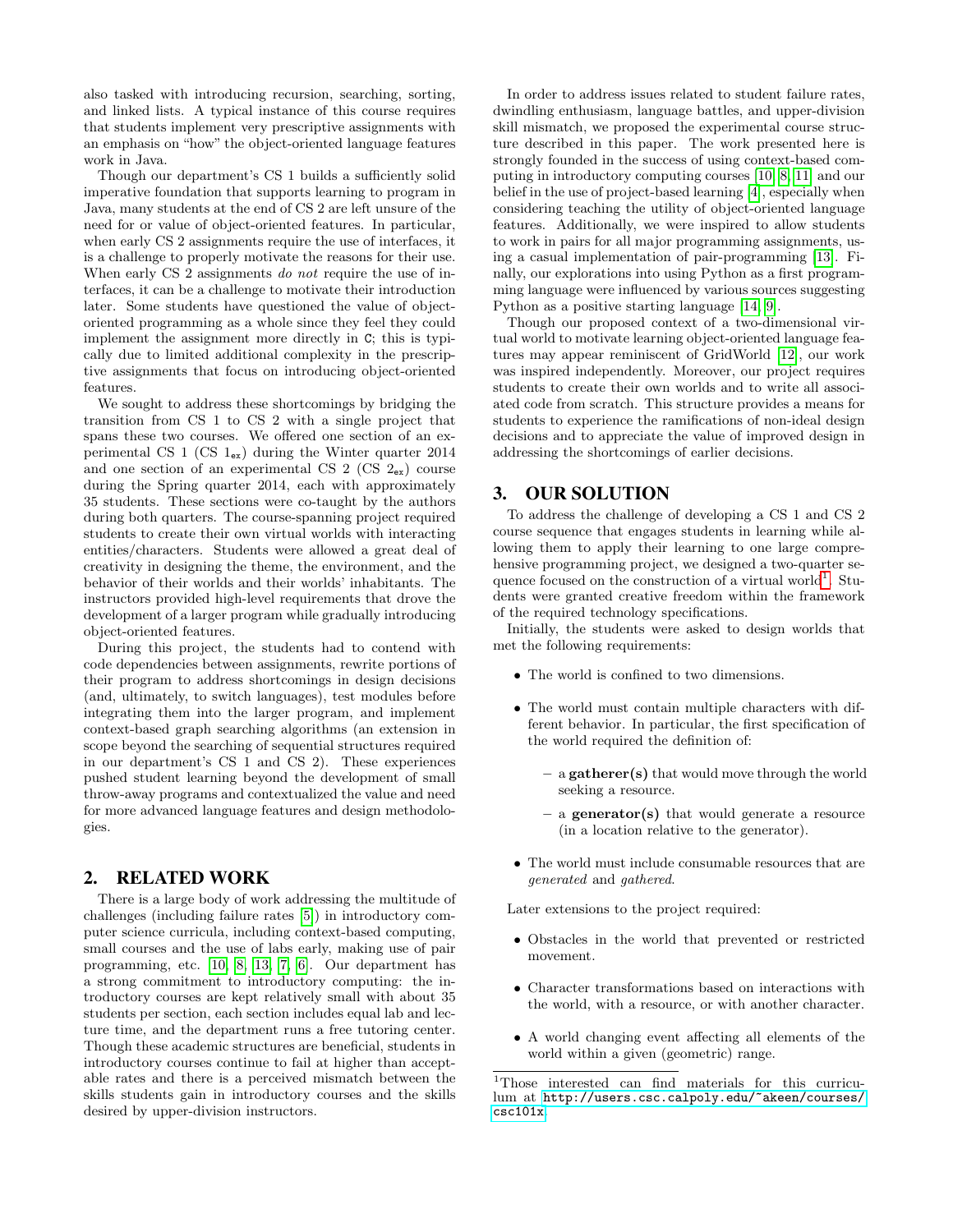also tasked with introducing recursion, searching, sorting, and linked lists. A typical instance of this course requires that students implement very prescriptive assignments with an emphasis on "how" the object-oriented language features work in Java.

Though our department's CS 1 builds a sufficiently solid imperative foundation that supports learning to program in Java, many students at the end of CS 2 are left unsure of the need for or value of object-oriented features. In particular, when early CS 2 assignments require the use of interfaces, it is a challenge to properly motivate the reasons for their use. When early CS 2 assignments do not require the use of interfaces, it can be a challenge to motivate their introduction later. Some students have questioned the value of objectoriented programming as a whole since they feel they could implement the assignment more directly in C; this is typically due to limited additional complexity in the prescriptive assignments that focus on introducing object-oriented features.

We sought to address these shortcomings by bridging the transition from CS 1 to CS 2 with a single project that spans these two courses. We offered one section of an experimental CS 1 (CS  $1_{ex}$ ) during the Winter quarter 2014 and one section of an experimental CS 2 (CS  $2_{ex}$ ) course during the Spring quarter 2014, each with approximately 35 students. These sections were co-taught by the authors during both quarters. The course-spanning project required students to create their own virtual worlds with interacting entities/characters. Students were allowed a great deal of creativity in designing the theme, the environment, and the behavior of their worlds and their worlds' inhabitants. The instructors provided high-level requirements that drove the development of a larger program while gradually introducing object-oriented features.

During this project, the students had to contend with code dependencies between assignments, rewrite portions of their program to address shortcomings in design decisions (and, ultimately, to switch languages), test modules before integrating them into the larger program, and implement context-based graph searching algorithms (an extension in scope beyond the searching of sequential structures required in our department's CS 1 and CS 2). These experiences pushed student learning beyond the development of small throw-away programs and contextualized the value and need for more advanced language features and design methodologies.

#### 2. RELATED WORK

There is a large body of work addressing the multitude of challenges (including failure rates [\[5\]](#page-5-2)) in introductory computer science curricula, including context-based computing, small courses and the use of labs early, making use of pair programming, etc. [\[10,](#page-5-3) [8,](#page-5-4) [13,](#page-5-5) [7,](#page-5-6) [6\]](#page-5-7). Our department has a strong commitment to introductory computing: the introductory courses are kept relatively small with about 35 students per section, each section includes equal lab and lecture time, and the department runs a free tutoring center. Though these academic structures are beneficial, students in introductory courses continue to fail at higher than acceptable rates and there is a perceived mismatch between the skills students gain in introductory courses and the skills desired by upper-division instructors.

In order to address issues related to student failure rates, dwindling enthusiasm, language battles, and upper-division skill mismatch, we proposed the experimental course structure described in this paper. The work presented here is strongly founded in the success of using context-based computing in introductory computing courses [\[10,](#page-5-3) [8,](#page-5-4) [11\]](#page-5-0) and our belief in the use of project-based learning [\[4\]](#page-5-8), especially when considering teaching the utility of object-oriented language features. Additionally, we were inspired to allow students to work in pairs for all major programming assignments, using a casual implementation of pair-programming [\[13\]](#page-5-5). Finally, our explorations into using Python as a first programming language were influenced by various sources suggesting Python as a positive starting language [\[14,](#page-5-9) [9\]](#page-5-10).

Though our proposed context of a two-dimensional virtual world to motivate learning object-oriented language features may appear reminiscent of GridWorld [\[12\]](#page-5-11), our work was inspired independently. Moreover, our project requires students to create their own worlds and to write all associated code from scratch. This structure provides a means for students to experience the ramifications of non-ideal design decisions and to appreciate the value of improved design in addressing the shortcomings of earlier decisions.

## <span id="page-1-0"></span>3. OUR SOLUTION

To address the challenge of developing a CS 1 and CS 2 course sequence that engages students in learning while allowing them to apply their learning to one large comprehensive programming project, we designed a two-quarter se-quence focused on the construction of a virtual world<sup>[1](#page-1-1)</sup>. Students were granted creative freedom within the framework of the required technology specifications.

Initially, the students were asked to design worlds that met the following requirements:

- The world is confined to two dimensions.
- The world must contain multiple characters with different behavior. In particular, the first specification of the world required the definition of:
	- $-$  a gatherer(s) that would move through the world seeking a resource.
	- $-$  a generator(s) that would generate a resource (in a location relative to the generator).
- The world must include consumable resources that are generated and gathered.

Later extensions to the project required:

- Obstacles in the world that prevented or restricted movement.
- Character transformations based on interactions with the world, with a resource, or with another character.
- A world changing event affecting all elements of the world within a given (geometric) range.

<span id="page-1-1"></span><sup>1</sup>Those interested can find materials for this curriculum at [http://users.csc.calpoly.edu/~akeen/courses/](http://users.csc.calpoly.edu/~akeen/courses/csc101x) [csc101x](http://users.csc.calpoly.edu/~akeen/courses/csc101x).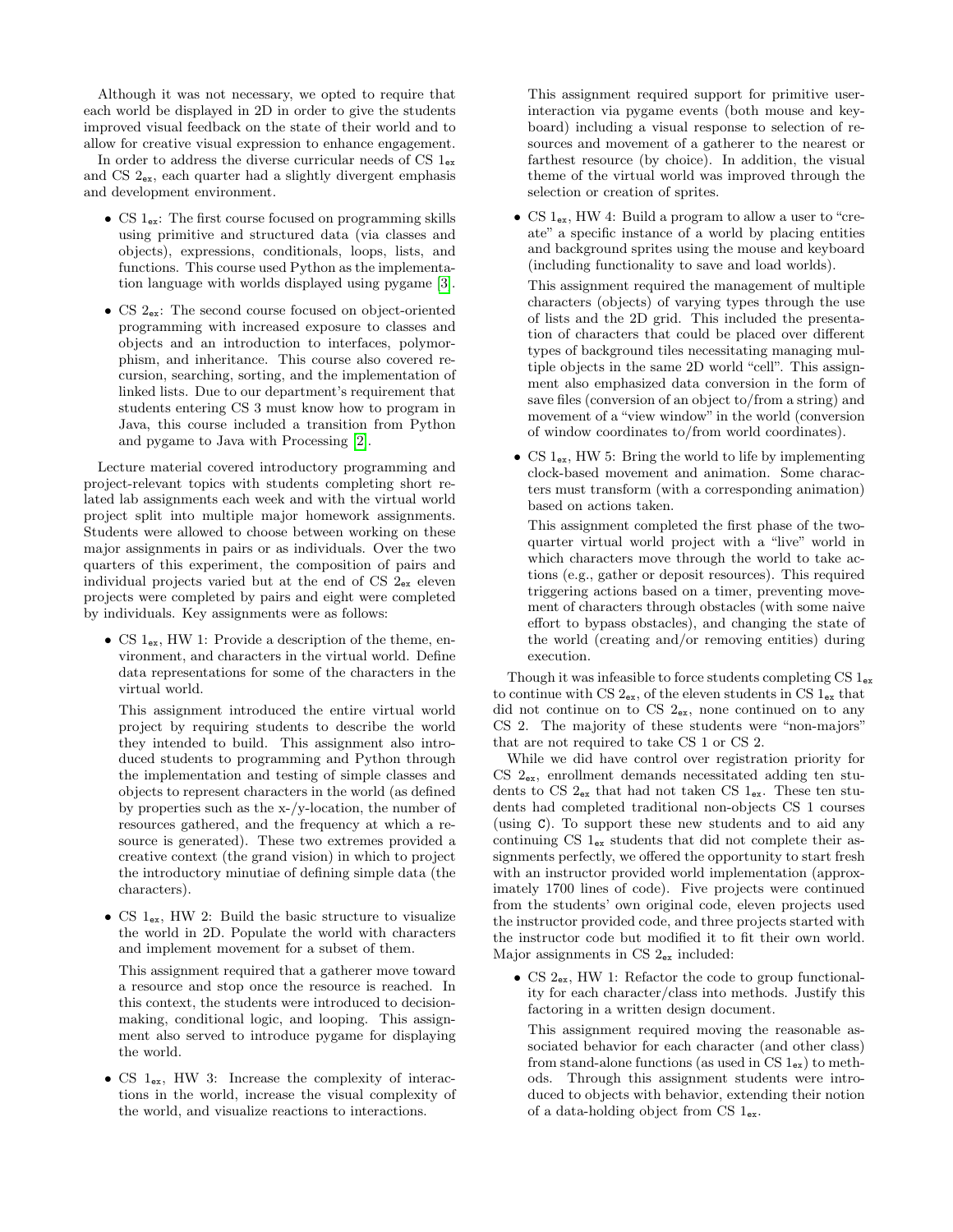Although it was not necessary, we opted to require that each world be displayed in 2D in order to give the students improved visual feedback on the state of their world and to allow for creative visual expression to enhance engagement.

In order to address the diverse curricular needs of CS  $1_{ex}$ and CS 2ex, each quarter had a slightly divergent emphasis and development environment.

- CS 1ex: The first course focused on programming skills using primitive and structured data (via classes and objects), expressions, conditionals, loops, lists, and functions. This course used Python as the implementation language with worlds displayed using pygame [\[3\]](#page-5-12).
- CS  $2_{ex}$ : The second course focused on object-oriented programming with increased exposure to classes and objects and an introduction to interfaces, polymorphism, and inheritance. This course also covered recursion, searching, sorting, and the implementation of linked lists. Due to our department's requirement that students entering CS 3 must know how to program in Java, this course included a transition from Python and pygame to Java with Processing [\[2\]](#page-5-13).

Lecture material covered introductory programming and project-relevant topics with students completing short related lab assignments each week and with the virtual world project split into multiple major homework assignments. Students were allowed to choose between working on these major assignments in pairs or as individuals. Over the two quarters of this experiment, the composition of pairs and individual projects varied but at the end of  $CS$   $2_{ex}$  eleven projects were completed by pairs and eight were completed by individuals. Key assignments were as follows:

• CS  $1_{ex}$ , HW 1: Provide a description of the theme, environment, and characters in the virtual world. Define data representations for some of the characters in the virtual world.

This assignment introduced the entire virtual world project by requiring students to describe the world they intended to build. This assignment also introduced students to programming and Python through the implementation and testing of simple classes and objects to represent characters in the world (as defined by properties such as the x-/y-location, the number of resources gathered, and the frequency at which a resource is generated). These two extremes provided a creative context (the grand vision) in which to project the introductory minutiae of defining simple data (the characters).

• CS 1<sub>ex</sub>, HW 2: Build the basic structure to visualize the world in 2D. Populate the world with characters and implement movement for a subset of them.

This assignment required that a gatherer move toward a resource and stop once the resource is reached. In this context, the students were introduced to decisionmaking, conditional logic, and looping. This assignment also served to introduce pygame for displaying the world.

• CS  $1_{ex}$ , HW 3: Increase the complexity of interactions in the world, increase the visual complexity of the world, and visualize reactions to interactions.

This assignment required support for primitive userinteraction via pygame events (both mouse and keyboard) including a visual response to selection of resources and movement of a gatherer to the nearest or farthest resource (by choice). In addition, the visual theme of the virtual world was improved through the selection or creation of sprites.

• CS  $1_{ex}$ , HW 4: Build a program to allow a user to "create" a specific instance of a world by placing entities and background sprites using the mouse and keyboard (including functionality to save and load worlds).

This assignment required the management of multiple characters (objects) of varying types through the use of lists and the 2D grid. This included the presentation of characters that could be placed over different types of background tiles necessitating managing multiple objects in the same 2D world "cell". This assignment also emphasized data conversion in the form of save files (conversion of an object to/from a string) and movement of a "view window" in the world (conversion of window coordinates to/from world coordinates).

• CS  $1_{ex}$ , HW 5: Bring the world to life by implementing clock-based movement and animation. Some characters must transform (with a corresponding animation) based on actions taken.

This assignment completed the first phase of the twoquarter virtual world project with a "live" world in which characters move through the world to take actions (e.g., gather or deposit resources). This required triggering actions based on a timer, preventing movement of characters through obstacles (with some naive effort to bypass obstacles), and changing the state of the world (creating and/or removing entities) during execution.

Though it was infeasible to force students completing  $CS1_{ex}$ to continue with CS  $2_{ex}$ , of the eleven students in CS  $1_{ex}$  that did not continue on to CS  $2_{ex}$ , none continued on to any CS 2. The majority of these students were "non-majors" that are not required to take CS 1 or CS 2.

While we did have control over registration priority for CS 2ex, enrollment demands necessitated adding ten students to CS  $2_{ex}$  that had not taken CS  $1_{ex}$ . These ten students had completed traditional non-objects CS 1 courses (using C). To support these new students and to aid any continuing CS  $1_{ex}$  students that did not complete their assignments perfectly, we offered the opportunity to start fresh with an instructor provided world implementation (approximately 1700 lines of code). Five projects were continued from the students' own original code, eleven projects used the instructor provided code, and three projects started with the instructor code but modified it to fit their own world. Major assignments in CS 2ex included:

• CS 2ex, HW 1: Refactor the code to group functionality for each character/class into methods. Justify this factoring in a written design document.

This assignment required moving the reasonable associated behavior for each character (and other class) from stand-alone functions (as used in CS  $1_{ex}$ ) to methods. Through this assignment students were introduced to objects with behavior, extending their notion of a data-holding object from CS  $1_{ex}$ .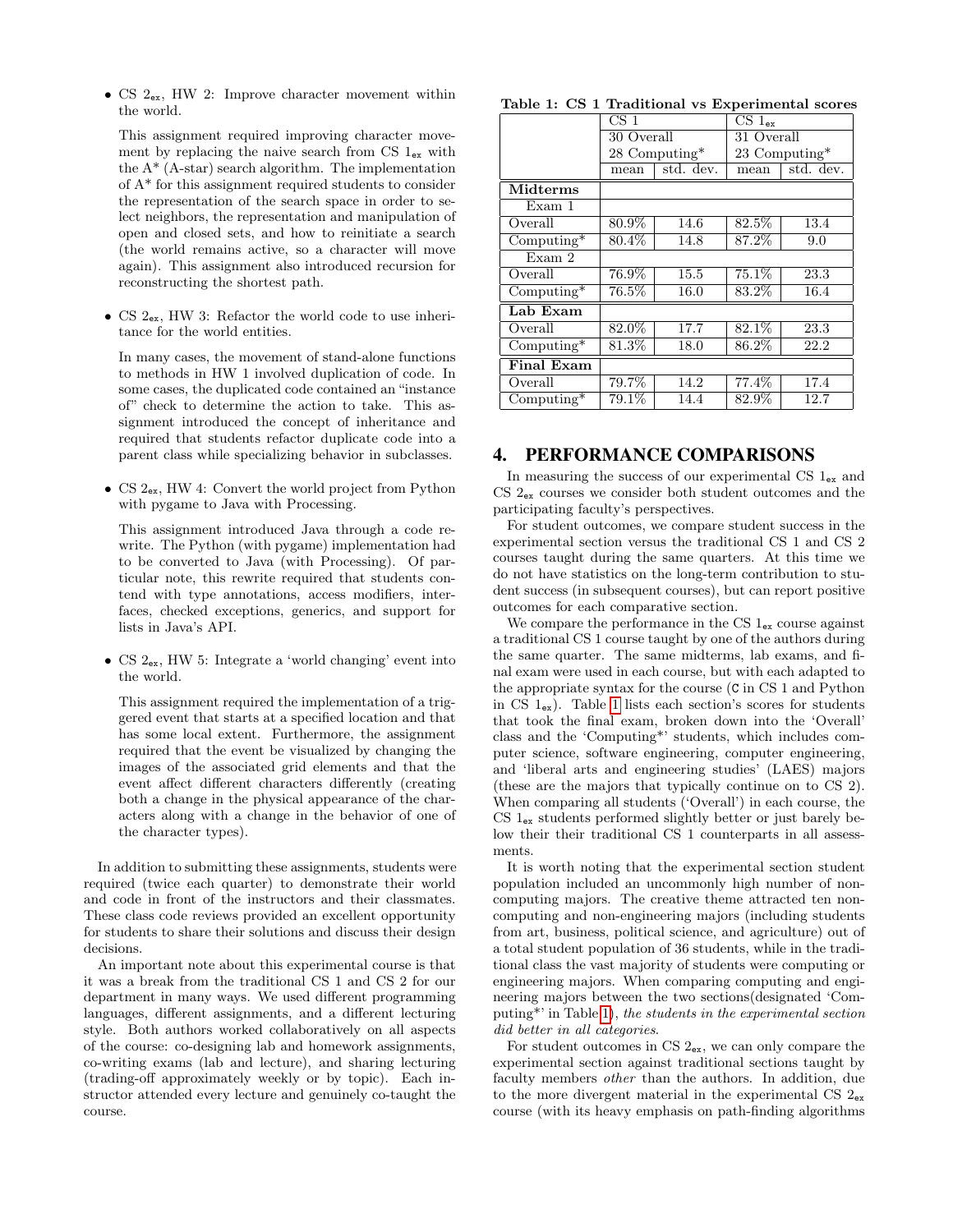• CS  $2_{ex}$ , HW 2: Improve character movement within the world.

This assignment required improving character movement by replacing the naive search from CS  $1_{ex}$  with the  $A^*$  (A-star) search algorithm. The implementation of A\* for this assignment required students to consider the representation of the search space in order to select neighbors, the representation and manipulation of open and closed sets, and how to reinitiate a search (the world remains active, so a character will move again). This assignment also introduced recursion for reconstructing the shortest path.

• CS  $2_{ex}$ , HW 3: Refactor the world code to use inheritance for the world entities.

In many cases, the movement of stand-alone functions to methods in HW 1 involved duplication of code. In some cases, the duplicated code contained an "instance of" check to determine the action to take. This assignment introduced the concept of inheritance and required that students refactor duplicate code into a parent class while specializing behavior in subclasses.

• CS  $2_{ex}$ , HW 4: Convert the world project from Python with pygame to Java with Processing.

This assignment introduced Java through a code rewrite. The Python (with pygame) implementation had to be converted to Java (with Processing). Of particular note, this rewrite required that students contend with type annotations, access modifiers, interfaces, checked exceptions, generics, and support for lists in Java's API.

• CS 2<sub>ex</sub>, HW 5: Integrate a 'world changing' event into the world.

This assignment required the implementation of a triggered event that starts at a specified location and that has some local extent. Furthermore, the assignment required that the event be visualized by changing the images of the associated grid elements and that the event affect different characters differently (creating both a change in the physical appearance of the characters along with a change in the behavior of one of the character types).

In addition to submitting these assignments, students were required (twice each quarter) to demonstrate their world and code in front of the instructors and their classmates. These class code reviews provided an excellent opportunity for students to share their solutions and discuss their design decisions.

An important note about this experimental course is that it was a break from the traditional CS 1 and CS 2 for our department in many ways. We used different programming languages, different assignments, and a different lecturing style. Both authors worked collaboratively on all aspects of the course: co-designing lab and homework assignments, co-writing exams (lab and lecture), and sharing lecturing (trading-off approximately weekly or by topic). Each instructor attended every lecture and genuinely co-taught the course.

<span id="page-3-0"></span>

| Table 1: CS 1 Traditional vs Experimental scores |  |  |
|--------------------------------------------------|--|--|
|--------------------------------------------------|--|--|

|                                   | CS <sub>1</sub> |           | $CS1_{\alpha x}$ |           |
|-----------------------------------|-----------------|-----------|------------------|-----------|
|                                   | 30 Overall      |           | 31 Overall       |           |
|                                   | 28 Computing*   |           | 23 Computing*    |           |
|                                   | mean            | std. dev. | mean             | std. dev. |
| <b>Midterms</b>                   |                 |           |                  |           |
| Exam 1                            |                 |           |                  |           |
| Overall                           | 80.9%           | 14.6      | $82.5\%$         | 13.4      |
| $\overline{\text{Computing*}}$    | 80.4%           | 14.8      | 87.2%            | 9.0       |
| Exam 2                            |                 |           |                  |           |
| Overall                           | 76.9%           | 15.5      | 75.1%            | 23.3      |
| $\overline{\mathrm{Computing}^*}$ | 76.5%           | 16.0      | 83.2%            | 16.4      |
| Lab Exam                          |                 |           |                  |           |
| Overall                           | 82.0%           | 17.7      | 82.1%            | 23.3      |
| $Computing*$                      | 81.3%           | 18.0      | 86.2%            | 22.2      |
| <b>Final Exam</b>                 |                 |           |                  |           |
| Overall                           | 79.7%           | 14.2      | 77.4%            | 17.4      |
| $Computing*$                      | 79.1%           | 14.4      | 82.9%            | 12.7      |

#### 4. PERFORMANCE COMPARISONS

In measuring the success of our experimental CS  $1_{ex}$  and CS  $2_{ex}$  courses we consider both student outcomes and the participating faculty's perspectives.

For student outcomes, we compare student success in the experimental section versus the traditional CS 1 and CS 2 courses taught during the same quarters. At this time we do not have statistics on the long-term contribution to student success (in subsequent courses), but can report positive outcomes for each comparative section.

We compare the performance in the CS  $1_{ex}$  course against a traditional CS 1 course taught by one of the authors during the same quarter. The same midterms, lab exams, and final exam were used in each course, but with each adapted to the appropriate syntax for the course (C in CS 1 and Python in CS  $1_{ex}$ ). Table [1](#page-3-0) lists each section's scores for students that took the final exam, broken down into the 'Overall' class and the 'Computing\*' students, which includes computer science, software engineering, computer engineering, and 'liberal arts and engineering studies' (LAES) majors (these are the majors that typically continue on to CS 2). When comparing all students ('Overall') in each course, the  $CS$   $1_{ex}$  students performed slightly better or just barely below their their traditional CS 1 counterparts in all assessments.

It is worth noting that the experimental section student population included an uncommonly high number of noncomputing majors. The creative theme attracted ten noncomputing and non-engineering majors (including students from art, business, political science, and agriculture) out of a total student population of 36 students, while in the traditional class the vast majority of students were computing or engineering majors. When comparing computing and engineering majors between the two sections(designated 'Computing\*' in Table [1\)](#page-3-0), the students in the experimental section did better in all categories.

For student outcomes in CS  $2_{ex}$ , we can only compare the experimental section against traditional sections taught by faculty members other than the authors. In addition, due to the more divergent material in the experimental CS  $2_{ex}$ course (with its heavy emphasis on path-finding algorithms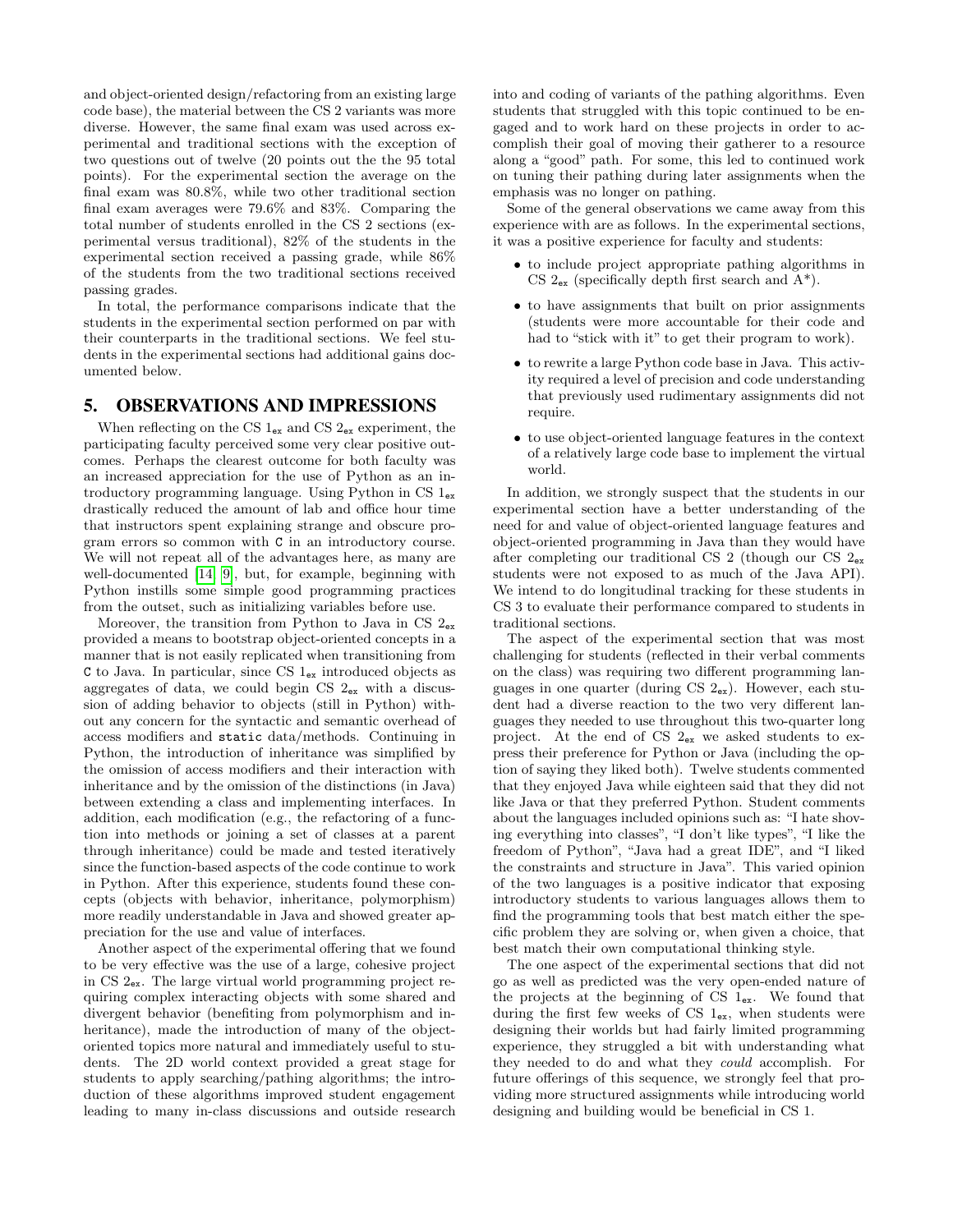and object-oriented design/refactoring from an existing large code base), the material between the CS 2 variants was more diverse. However, the same final exam was used across experimental and traditional sections with the exception of two questions out of twelve (20 points out the the 95 total points). For the experimental section the average on the final exam was 80.8%, while two other traditional section final exam averages were 79.6% and 83%. Comparing the total number of students enrolled in the CS 2 sections (experimental versus traditional), 82% of the students in the experimental section received a passing grade, while 86% of the students from the two traditional sections received passing grades.

In total, the performance comparisons indicate that the students in the experimental section performed on par with their counterparts in the traditional sections. We feel students in the experimental sections had additional gains documented below.

## 5. OBSERVATIONS AND IMPRESSIONS

When reflecting on the CS  $1_{ex}$  and CS  $2_{ex}$  experiment, the participating faculty perceived some very clear positive outcomes. Perhaps the clearest outcome for both faculty was an increased appreciation for the use of Python as an introductory programming language. Using Python in CS 1ex drastically reduced the amount of lab and office hour time that instructors spent explaining strange and obscure program errors so common with C in an introductory course. We will not repeat all of the advantages here, as many are well-documented [\[14,](#page-5-9) [9\]](#page-5-10), but, for example, beginning with Python instills some simple good programming practices from the outset, such as initializing variables before use.

Moreover, the transition from Python to Java in CS  $2_{ex}$ provided a means to bootstrap object-oriented concepts in a manner that is not easily replicated when transitioning from C to Java. In particular, since CS 1ex introduced objects as aggregates of data, we could begin CS  $2_{ex}$  with a discussion of adding behavior to objects (still in Python) without any concern for the syntactic and semantic overhead of access modifiers and static data/methods. Continuing in Python, the introduction of inheritance was simplified by the omission of access modifiers and their interaction with inheritance and by the omission of the distinctions (in Java) between extending a class and implementing interfaces. In addition, each modification (e.g., the refactoring of a function into methods or joining a set of classes at a parent through inheritance) could be made and tested iteratively since the function-based aspects of the code continue to work in Python. After this experience, students found these concepts (objects with behavior, inheritance, polymorphism) more readily understandable in Java and showed greater appreciation for the use and value of interfaces.

Another aspect of the experimental offering that we found to be very effective was the use of a large, cohesive project in CS  $2_{ex}$ . The large virtual world programming project requiring complex interacting objects with some shared and divergent behavior (benefiting from polymorphism and inheritance), made the introduction of many of the objectoriented topics more natural and immediately useful to students. The 2D world context provided a great stage for students to apply searching/pathing algorithms; the introduction of these algorithms improved student engagement leading to many in-class discussions and outside research into and coding of variants of the pathing algorithms. Even students that struggled with this topic continued to be engaged and to work hard on these projects in order to accomplish their goal of moving their gatherer to a resource along a "good" path. For some, this led to continued work on tuning their pathing during later assignments when the emphasis was no longer on pathing.

Some of the general observations we came away from this experience with are as follows. In the experimental sections, it was a positive experience for faculty and students:

- to include project appropriate pathing algorithms in CS  $2_{ex}$  (specifically depth first search and  $A^*$ ).
- to have assignments that built on prior assignments (students were more accountable for their code and had to "stick with it" to get their program to work).
- to rewrite a large Python code base in Java. This activity required a level of precision and code understanding that previously used rudimentary assignments did not require.
- to use object-oriented language features in the context of a relatively large code base to implement the virtual world.

In addition, we strongly suspect that the students in our experimental section have a better understanding of the need for and value of object-oriented language features and object-oriented programming in Java than they would have after completing our traditional CS 2 (though our CS  $2_{ex}$ students were not exposed to as much of the Java API). We intend to do longitudinal tracking for these students in CS 3 to evaluate their performance compared to students in traditional sections.

The aspect of the experimental section that was most challenging for students (reflected in their verbal comments on the class) was requiring two different programming languages in one quarter (during  $CS 2_{ex}$ ). However, each student had a diverse reaction to the two very different languages they needed to use throughout this two-quarter long project. At the end of CS 2ex we asked students to express their preference for Python or Java (including the option of saying they liked both). Twelve students commented that they enjoyed Java while eighteen said that they did not like Java or that they preferred Python. Student comments about the languages included opinions such as: "I hate shoving everything into classes", "I don't like types", "I like the freedom of Python", "Java had a great IDE", and "I liked the constraints and structure in Java". This varied opinion of the two languages is a positive indicator that exposing introductory students to various languages allows them to find the programming tools that best match either the specific problem they are solving or, when given a choice, that best match their own computational thinking style.

The one aspect of the experimental sections that did not go as well as predicted was the very open-ended nature of the projects at the beginning of CS  $1_{ex}$ . We found that during the first few weeks of CS  $1_{ex}$ , when students were designing their worlds but had fairly limited programming experience, they struggled a bit with understanding what they needed to do and what they could accomplish. For future offerings of this sequence, we strongly feel that providing more structured assignments while introducing world designing and building would be beneficial in CS 1.